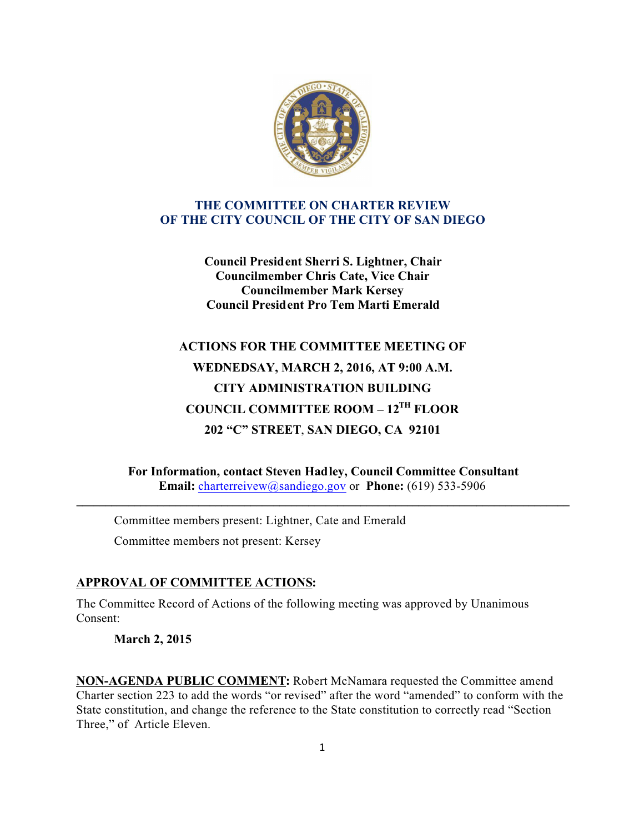

### **THE COMMITTEE ON CHARTER REVIEW OF THE CITY COUNCIL OF THE CITY OF SAN DIEGO**

**Council President Sherri S. Lightner, Chair Councilmember Chris Cate, Vice Chair Councilmember Mark Kersey Council President Pro Tem Marti Emerald**

# **ACTIONS FOR THE COMMITTEE MEETING OF WEDNEDSAY, MARCH 2, 2016, AT 9:00 A.M. CITY ADMINISTRATION BUILDING COUNCIL COMMITTEE ROOM – 12TH FLOOR 202 "C" STREET**, **SAN DIEGO, CA 92101**

**For Information, contact Steven Hadley, Council Committee Consultant Email:** charterreivew@sandiego.gov or **Phone:** (619) 533-5906

**\_\_\_\_\_\_\_\_\_\_\_\_\_\_\_\_\_\_\_\_\_\_\_\_\_\_\_\_\_\_\_\_\_\_\_\_\_\_\_\_\_\_\_\_\_\_\_\_\_\_\_\_\_\_\_\_\_\_\_\_\_\_\_\_\_\_\_\_\_\_\_\_\_\_\_\_\_\_\_\_\_\_\_\_\_**

Committee members present: Lightner, Cate and Emerald Committee members not present: Kersey

# **APPROVAL OF COMMITTEE ACTIONS:**

The Committee Record of Actions of the following meeting was approved by Unanimous Consent:

**March 2, 2015**

**NON-AGENDA PUBLIC COMMENT:** Robert McNamara requested the Committee amend Charter section 223 to add the words "or revised" after the word "amended" to conform with the State constitution, and change the reference to the State constitution to correctly read "Section Three," of Article Eleven.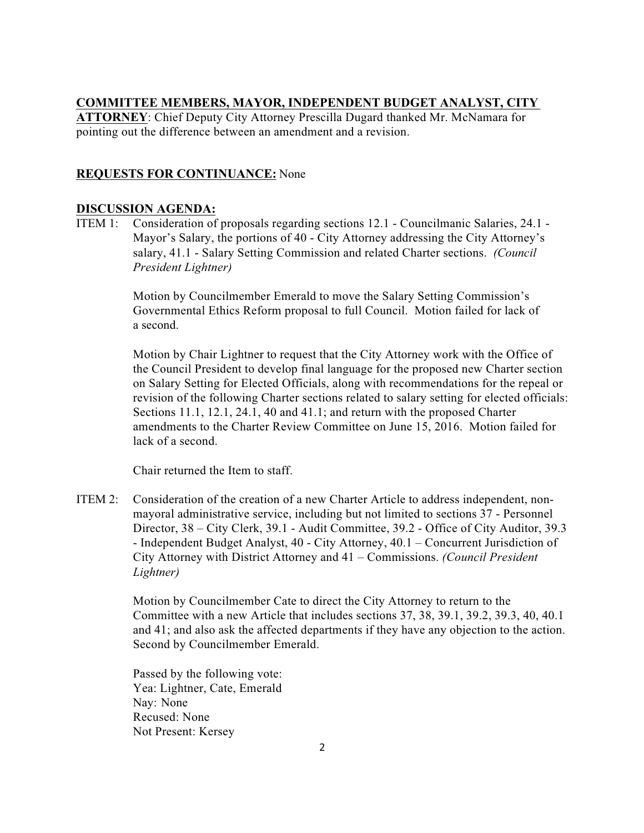#### **COMMITTEE MEMBERS, MAYOR, INDEPENDENT BUDGET ANALYST, CITY**

**ATTORNEY**: Chief Deputy City Attorney Prescilla Dugard thanked Mr. McNamara for pointing out the difference between an amendment and a revision.

## **REQUESTS FOR CONTINUANCE:** None

#### **DISCUSSION AGENDA:**

ITEM 1: Consideration of proposals regarding sections 12.1 - Councilmanic Salaries, 24.1 - Mayor's Salary, the portions of 40 - City Attorney addressing the City Attorney's salary, 41.1 - Salary Setting Commission and related Charter sections. *(Council President Lightner)*

> Motion by Councilmember Emerald to move the Salary Setting Commission's Governmental Ethics Reform proposal to full Council. Motion failed for lack of a second.

 Motion by Chair Lightner to request that the City Attorney work with the Office of the Council President to develop final language for the proposed new Charter section on Salary Setting for Elected Officials, along with recommendations for the repeal or revision of the following Charter sections related to salary setting for elected officials: Sections 11.1, 12.1, 24.1, 40 and 41.1; and return with the proposed Charter amendments to the Charter Review Committee on June 15, 2016. Motion failed for lack of a second.

Chair returned the Item to staff.

ITEM 2: Consideration of the creation of a new Charter Article to address independent, nonmayoral administrative service, including but not limited to sections 37 - Personnel Director, 38 – City Clerk, 39.1 - Audit Committee, 39.2 - Office of City Auditor, 39.3 - Independent Budget Analyst, 40 - City Attorney, 40.1 – Concurrent Jurisdiction of City Attorney with District Attorney and 41 – Commissions. *(Council President Lightner)*

> Motion by Councilmember Cate to direct the City Attorney to return to the Committee with a new Article that includes sections 37, 38, 39.1, 39.2, 39.3, 40, 40.1 and 41; and also ask the affected departments if they have any objection to the action. Second by Councilmember Emerald.

Passed by the following vote: Yea: Lightner, Cate, Emerald Nay: None Recused: None Not Present: Kersey